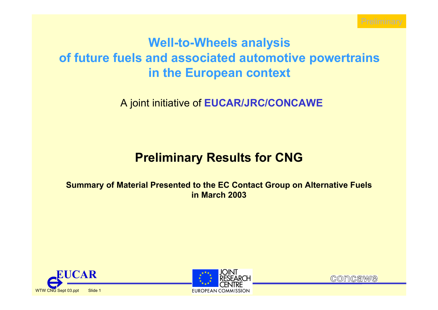

# **Well-to-Wheels analysis of future fuels and associated automotive powertrains in the European context**

A joint initiative of **EUCAR/JRC/CONCAWE**

## **Preliminary Results for CNG**

**Summary of Material Presented to the EC Contact Group on Alternative Fuels in March 2003**





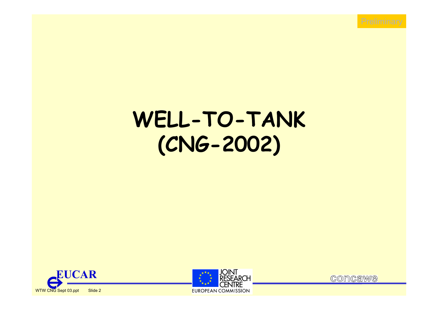

# **WELL-TO-TANK (CNG-2002)**





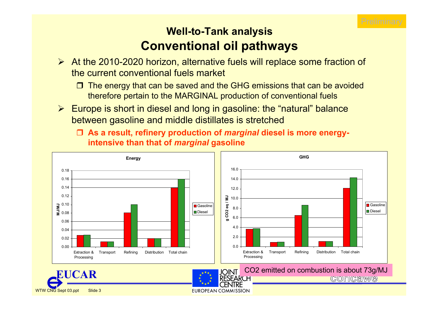

#### **Well-to-Tank analysis Conventional oil pathways**

- ¾ At the 2010-2020 horizon, alternative fuels will replace some fraction of the current conventional fuels market
	- $\Box$  The energy that can be saved and the GHG emissions that can be avoided therefore pertain to the MARGINAL production of conventional fuels
- ¾ Europe is short in diesel and long in gasoline: the "natural" balance between gasoline and middle distillates is stretched
	- **As a result, refinery production of** *marginal* **diesel is more energyintensive than that of** *marginal* **gasoline**

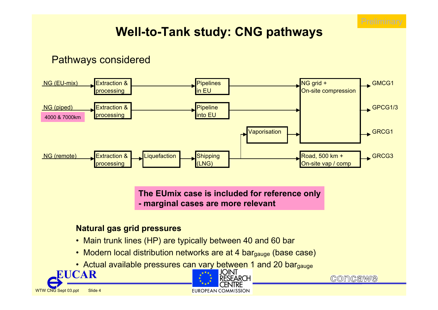

## **Well-to-Tank study: CNG pathways**

#### Pathways considered



**The EUmix case is included for reference only - marginal cases are more relevant**

#### **Natural gas grid pressures**

- Main trunk lines (HP) are typically between 40 and 60 bar
- Modern local distribution networks are at 4 bar<sub>gauge</sub> (base case)
- Actual available pressures can vary between 1 and 20 bargauge





**COMCAWE**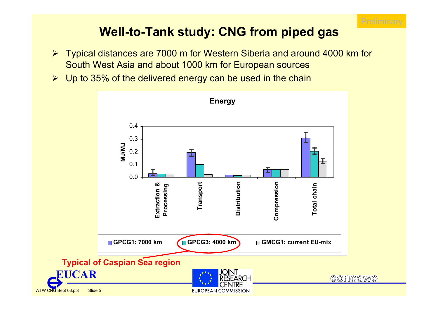

### **Well-to-Tank study: CNG from piped gas**

- ¾ Typical distances are 7000 m for Western Siberia and around 4000 km for South West Asia and about 1000 km for European sources
- $\triangleright$  Up to 35% of the delivered energy can be used in the chain

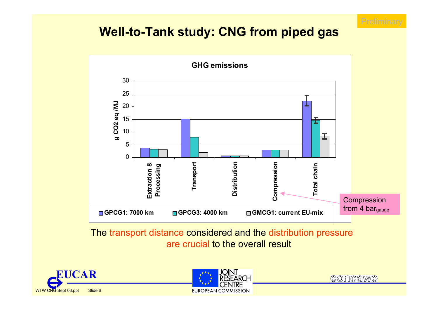

#### **Well-to-Tank study: CNG from piped gas**



The transport distance considered and the distribution pressure are crucial to the overall result





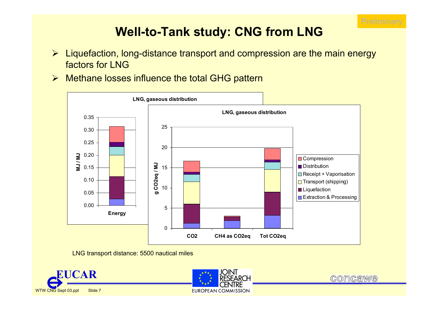

## **Well-to-Tank study: CNG from LNG**

- ¾ Liquefaction, long-distance transport and compression are the main energy factors for LNG
- ¾ Methane losses influence the total GHG pattern



LNG transport distance: 5500 nautical miles





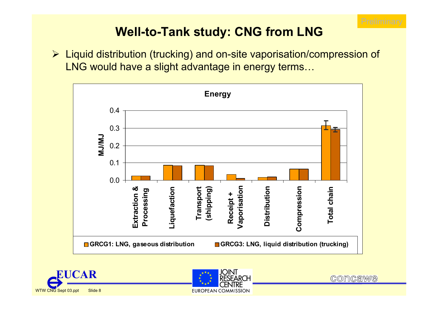

## **Well-to-Tank study: CNG from LNG**

¾ Liquid distribution (trucking) and on-site vaporisation/compression of LNG would have a slight advantage in energy terms…







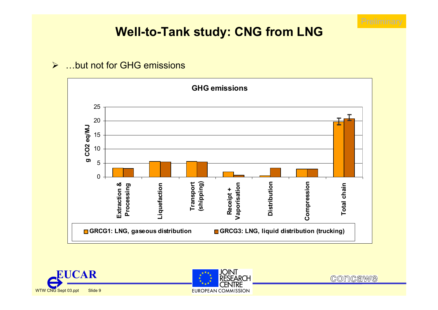

#### **Well-to-Tank study: CNG from LNG**

#### $\blacktriangleright$ …but not for GHG emissions







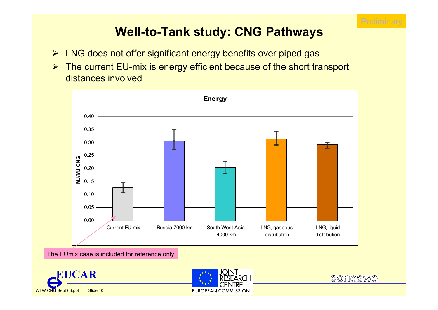

### **Well-to-Tank study: CNG Pathways**

- ¾ LNG does not offer significant energy benefits over piped gas
- ¾ The current EU-mix is energy efficient because of the short transport distances involved



The EUmix case is included for reference only





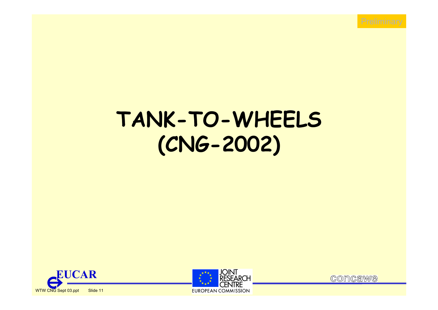

# **TANK-TO-WHEELS (CNG-2002)**





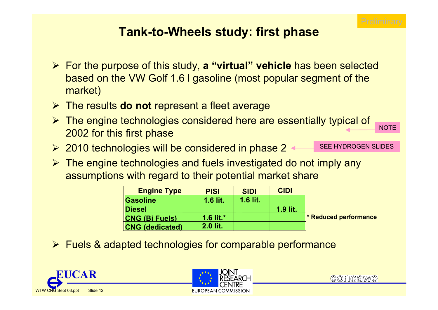

**NOT** 

### **Tank-to-Wheels study: first phase**

- ¾ For the purpose of this study, **a "virtual" vehicle** has been selected based on the VW Golf 1.6 l gasoline (most popular segment of the market)
- ¾ The results **do not** represent a fleet average
- ¾ The engine technologies considered here are essentially typical of 2002 for this first phase
- ¾ 2010 technologies will be considered in phase 2
- ¾ The engine technologies and fuels investigated do not imply any assumptions with regard to their potential market share

| <b>Engine Type</b>     | <b>PISI</b>     | <b>SIDI</b> | <b>CIDI</b> |                              |
|------------------------|-----------------|-------------|-------------|------------------------------|
| Gasoline               | <b>1.6 lit.</b> | $1.6$ lit.  |             |                              |
| <b>Diesel</b>          |                 |             | 1.9 lit.    |                              |
| <b>CNG (Bi Fuels)</b>  | 1.6 lit. $*$    |             |             | <b>* Reduced performance</b> |
| <b>CNG</b> (dedicated) | 2.0 lit.        |             |             |                              |

¾ Fuels & adapted technologies for comparable performance







SEE HYDROGEN SLIDES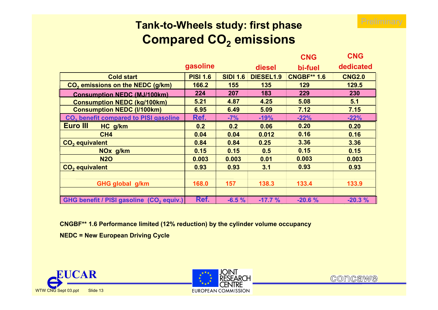

#### **Tank-to-Wheels study: first phase Compared CO2 emissions**

|                                                      |                 |                 |                  | <b>CNG</b>         | <b>CNG</b>    |
|------------------------------------------------------|-----------------|-----------------|------------------|--------------------|---------------|
|                                                      | gasoline        |                 | diesel           | bi-fuel            | dedicated     |
| <b>Cold start</b>                                    | <b>PISI 1.6</b> | <b>SIDI 1.6</b> | <b>DIESEL1.9</b> | <b>CNGBF** 1.6</b> | <b>CNG2.0</b> |
| CO <sub>2</sub> emissions on the NEDC (g/km)         | 166.2           | 155             | 135              | 129                | 129.5         |
| <b>Consumption NEDC (MJ/100km)</b>                   | 224             | 207             | 183              | 229                | 230           |
| <b>Consumption NEDC (kg/100km)</b>                   | 5.21            | 4.87            | 4.25             | 5.08               | 5.1           |
| <b>Consumption NEDC (I/100km)</b>                    | 6.95            | 6.49            | 5.09             | 7.12               | 7.15          |
| CO <sub>2</sub> benefit compared to PISI gasoline    | Ref.            | $-7%$           | $-19%$           | $-22%$             | $-22%$        |
| <b>Euro III</b><br>HC g/km                           | 0.2             | 0.2             | 0.06             | 0.20               | 0.20          |
| CH <sub>4</sub>                                      | 0.04            | 0.04            | 0.012            | 0.16               | 0.16          |
| CO <sub>2</sub> equivalent                           | 0.84            | 0.84            | 0.25             | 3.36               | 3.36          |
| NO <sub>x</sub> g/km                                 | 0.15            | 0.15            | 0.5              | 0.15               | 0.15          |
| <b>N2O</b>                                           | 0.003           | 0.003           | 0.01             | 0.003              | 0.003         |
| CO <sub>2</sub> equivalent                           | 0.93            | 0.93            | 3.1              | 0.93               | 0.93          |
|                                                      |                 |                 |                  |                    |               |
| GHG global g/km                                      | 168.0           | 157             | 138.3            | 133.4              | 133.9         |
|                                                      |                 |                 |                  |                    |               |
| GHG benefit / PISI gasoline (CO <sub>2</sub> equiv.) | Ref.            | $-6.5%$         | $-17.7%$         | $-20.6%$           | $-20.3%$      |

**CNGBF\*\* 1.6 Performance limited (12% reduction) by the cylinder volume occupancy**

**NEDC = New European Driving Cycle**





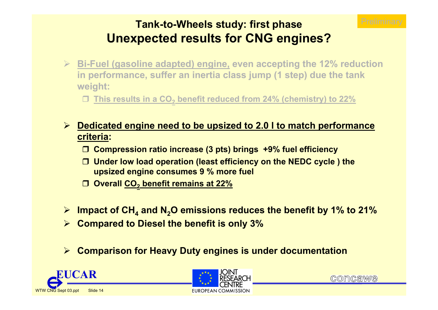

#### **Tank-to-Wheels study: first phase Unexpected results for CNG engines?**

- ¾ **Bi-Fuel (gasoline adapted) engine, even accepting the 12% reduction in performance, suffer an inertia class jump (1 step) due the tank weight:**
	- **This results in a CO2 benefit reduced from 24% (chemistry) to 22%**
- ¾ **Dedicated engine need to be upsized to 2.0 l to match performance criteria:** 
	- **Compression ratio increase (3 pts) brings +9% fuel efficiency**
	- **Under low load operation (least efficiency on the NEDC cycle ) the upsized engine consumes 9 % more fuel**
	- **Overall CO2 benefit remains at 22%**
- ¾ **Impact of CH4 and N2O emissions reduces the benefit by 1% to 21%**
- ¾ **Compared to Diesel the benefit is only 3%**
- $\blacktriangleright$ **Comparison for Heavy Duty engines is under documentation**





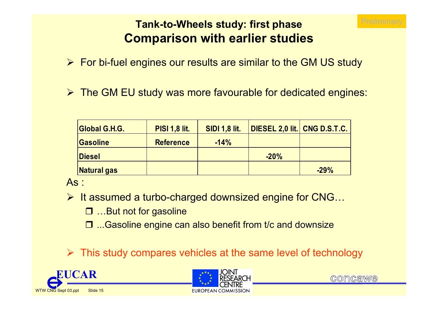

#### **Tank-to-Wheels study: first phase Comparison with earlier studies**

- ¾ For bi-fuel engines our results are similar to the GM US study
- ¾ The GM EU study was more favourable for dedicated engines:

| Global G.H.G.      | <b>PISI 1,8 lit.</b> | <b>SIDI 1,8 lit.</b> | DIESEL 2,0 lit. CNG D.S.T.C. |        |
|--------------------|----------------------|----------------------|------------------------------|--------|
| <b>Gasoline</b>    | <b>Reference</b>     | $-14%$               |                              |        |
| <b>Diesel</b>      |                      |                      | $-20%$                       |        |
| <b>Natural gas</b> |                      |                      |                              | $-29%$ |

As :

- ¾ It assumed a turbo-charged downsized engine for CNG…
	- …But not for gasoline
	- □ ...Gasoline engine can also benefit from t/c and downsize

 $\triangleright$  This study compares vehicles at the same level of technology





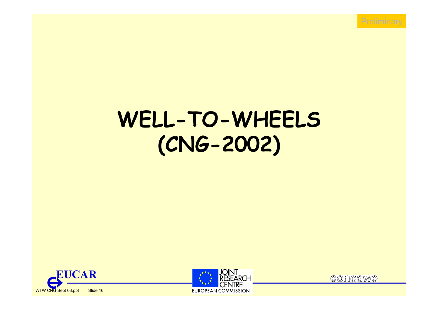

# **WELL-TO-WHEELS (CNG-2002)**





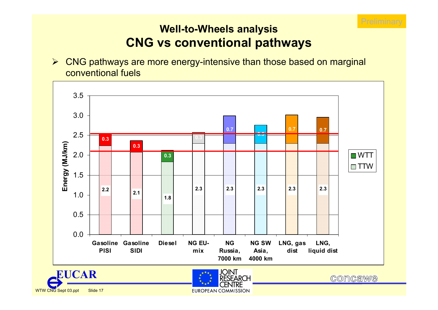

#### **Well-to-Wheels analysis CNG vs conventional pathways**

¾ CNG pathways are more energy-intensive than those based on marginal conventional fuels

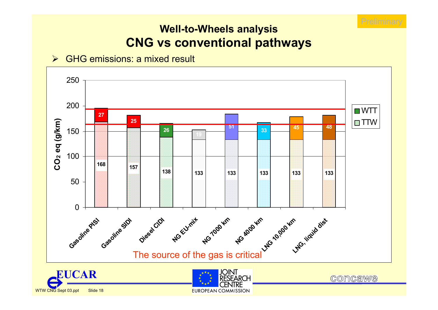

#### **Well-to-Wheels analysis CNG vs conventional pathways**

#### ¾ GHG emissions: a mixed result